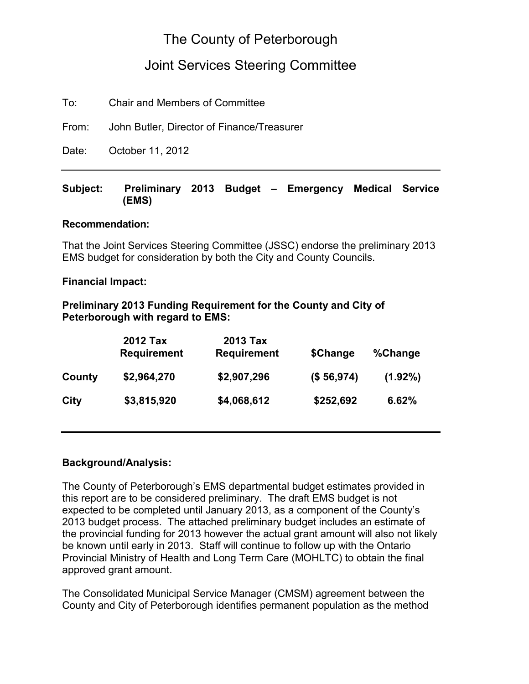### The County of Peterborough

### Joint Services Steering Committee

To: Chair and Members of Committee

From: John Butler, Director of Finance/Treasurer

Date: October 11, 2012

#### **Subject: Preliminary 2013 Budget – Emergency Medical Service (EMS)**

#### **Recommendation:**

That the Joint Services Steering Committee (JSSC) endorse the preliminary 2013 EMS budget for consideration by both the City and County Councils.

#### **Financial Impact:**

#### **Preliminary 2013 Funding Requirement for the County and City of Peterborough with regard to EMS:**

|        | 2012 Tax<br><b>Requirement</b> | <b>2013 Tax</b><br><b>Requirement</b> | \$Change   | %Change    |
|--------|--------------------------------|---------------------------------------|------------|------------|
| County | \$2,964,270                    | \$2,907,296                           | (\$56,974) | $(1.92\%)$ |
| City   | \$3,815,920                    | \$4,068,612                           | \$252,692  | 6.62%      |

#### **Background/Analysis:**

The County of Peterborough's EMS departmental budget estimates provided in this report are to be considered preliminary. The draft EMS budget is not expected to be completed until January 2013, as a component of the County's 2013 budget process. The attached preliminary budget includes an estimate of the provincial funding for 2013 however the actual grant amount will also not likely be known until early in 2013. Staff will continue to follow up with the Ontario Provincial Ministry of Health and Long Term Care (MOHLTC) to obtain the final approved grant amount.

The Consolidated Municipal Service Manager (CMSM) agreement between the County and City of Peterborough identifies permanent population as the method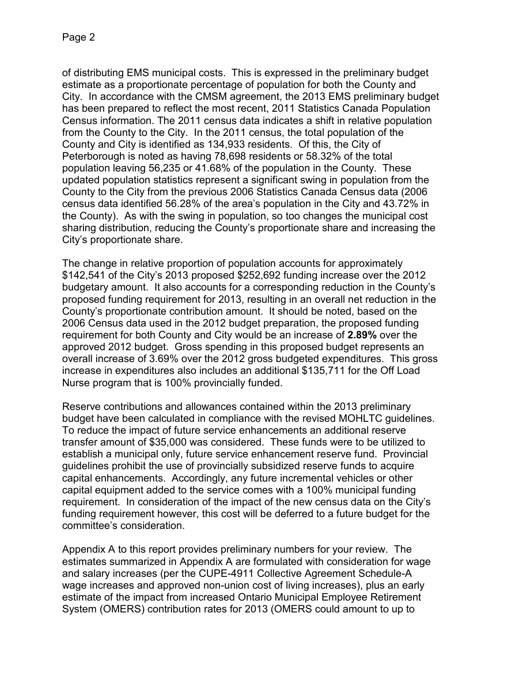of distributing EMS municipal costs. This is expressed in the preliminary budget estimate as a proportionate percentage of population for both the County and City. In accordance with the CMSM agreement, the 2013 EMS preliminary budget has been prepared to reflect the most recent, 2011 Statistics Canada Population Census information. The 2011 census data indicates a shift in relative population from the County to the City. In the 2011 census, the total population of the County and City is identified as 134,933 residents. Of this, the City of Peterborough is noted as having 78,698 residents or 58.32% of the total population leaving 56,235 or 41.68% of the population in the County. These updated population statistics represent a significant swing in population from the County to the City from the previous 2006 Statistics Canada Census data (2006 census data identified 56.28% of the area's population in the City and 43.72% in the County). As with the swing in population, so too changes the municipal cost sharing distribution, reducing the County's proportionate share and increasing the City's proportionate share.

The change in relative proportion of population accounts for approximately \$142,541 of the City's 2013 proposed \$252,692 funding increase over the 2012 budgetary amount. It also accounts for a corresponding reduction in the County's proposed funding requirement for 2013, resulting in an overall net reduction in the County's proportionate contribution amount. It should be noted, based on the 2006 Census data used in the 2012 budget preparation, the proposed funding requirement for both County and City would be an increase of **2.89%** over the approved 2012 budget. Gross spending in this proposed budget represents an overall increase of 3.69% over the 2012 gross budgeted expenditures. This gross increase in expenditures also includes an additional \$135,711 for the Off Load Nurse program that is 100% provincially funded.

Reserve contributions and allowances contained within the 2013 preliminary budget have been calculated in compliance with the revised MOHLTC guidelines. To reduce the impact of future service enhancements an additional reserve transfer amount of \$35,000 was considered. These funds were to be utilized to establish a municipal only, future service enhancement reserve fund. Provincial guidelines prohibit the use of provincially subsidized reserve funds to acquire capital enhancements. Accordingly, any future incremental vehicles or other capital equipment added to the service comes with a 100% municipal funding requirement. In consideration of the impact of the new census data on the City's funding requirement however, this cost will be deferred to a future budget for the committee's consideration.

Appendix A to this report provides preliminary numbers for your review. The estimates summarized in Appendix A are formulated with consideration for wage and salary increases (per the CUPE-4911 Collective Agreement Schedule-A wage increases and approved non-union cost of living increases), plus an early estimate of the impact from increased Ontario Municipal Employee Retirement System (OMERS) contribution rates for 2013 (OMERS could amount to up to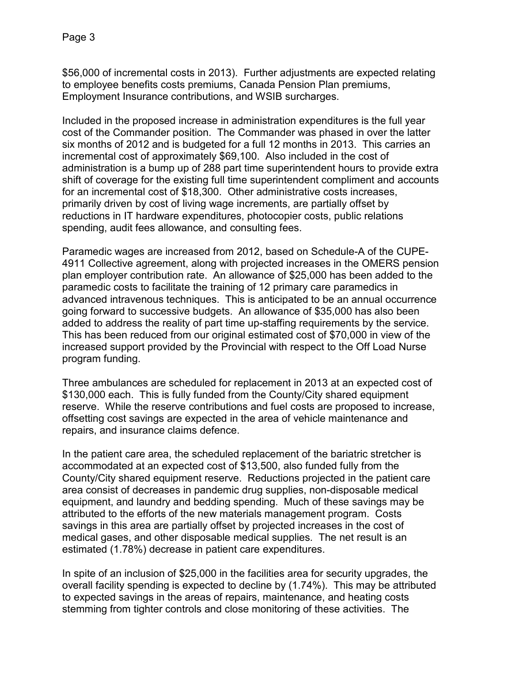\$56,000 of incremental costs in 2013). Further adjustments are expected relating to employee benefits costs premiums, Canada Pension Plan premiums, Employment Insurance contributions, and WSIB surcharges.

Included in the proposed increase in administration expenditures is the full year cost of the Commander position. The Commander was phased in over the latter six months of 2012 and is budgeted for a full 12 months in 2013. This carries an incremental cost of approximately \$69,100. Also included in the cost of administration is a bump up of 288 part time superintendent hours to provide extra shift of coverage for the existing full time superintendent compliment and accounts for an incremental cost of \$18,300. Other administrative costs increases, primarily driven by cost of living wage increments, are partially offset by reductions in IT hardware expenditures, photocopier costs, public relations spending, audit fees allowance, and consulting fees.

Paramedic wages are increased from 2012, based on Schedule-A of the CUPE-4911 Collective agreement, along with projected increases in the OMERS pension plan employer contribution rate. An allowance of \$25,000 has been added to the paramedic costs to facilitate the training of 12 primary care paramedics in advanced intravenous techniques. This is anticipated to be an annual occurrence going forward to successive budgets. An allowance of \$35,000 has also been added to address the reality of part time up-staffing requirements by the service. This has been reduced from our original estimated cost of \$70,000 in view of the increased support provided by the Provincial with respect to the Off Load Nurse program funding.

Three ambulances are scheduled for replacement in 2013 at an expected cost of \$130,000 each. This is fully funded from the County/City shared equipment reserve. While the reserve contributions and fuel costs are proposed to increase, offsetting cost savings are expected in the area of vehicle maintenance and repairs, and insurance claims defence.

In the patient care area, the scheduled replacement of the bariatric stretcher is accommodated at an expected cost of \$13,500, also funded fully from the County/City shared equipment reserve. Reductions projected in the patient care area consist of decreases in pandemic drug supplies, non-disposable medical equipment, and laundry and bedding spending. Much of these savings may be attributed to the efforts of the new materials management program. Costs savings in this area are partially offset by projected increases in the cost of medical gases, and other disposable medical supplies. The net result is an estimated (1.78%) decrease in patient care expenditures.

In spite of an inclusion of \$25,000 in the facilities area for security upgrades, the overall facility spending is expected to decline by (1.74%). This may be attributed to expected savings in the areas of repairs, maintenance, and heating costs stemming from tighter controls and close monitoring of these activities. The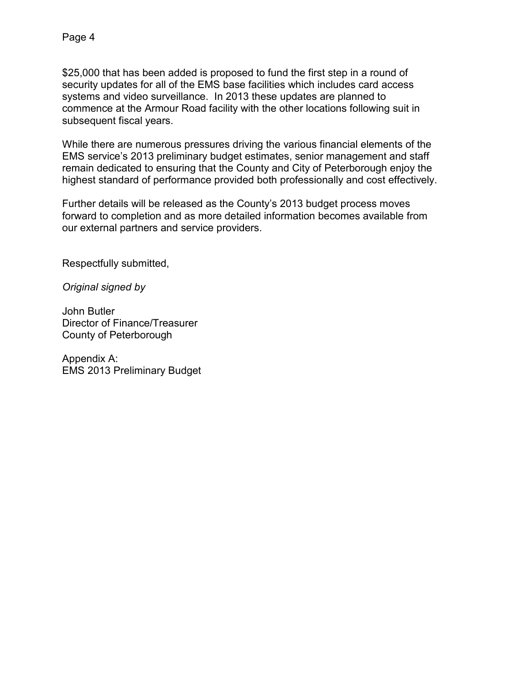\$25,000 that has been added is proposed to fund the first step in a round of security updates for all of the EMS base facilities which includes card access systems and video surveillance. In 2013 these updates are planned to commence at the Armour Road facility with the other locations following suit in subsequent fiscal years.

While there are numerous pressures driving the various financial elements of the EMS service's 2013 preliminary budget estimates, senior management and staff remain dedicated to ensuring that the County and City of Peterborough enjoy the highest standard of performance provided both professionally and cost effectively.

Further details will be released as the County's 2013 budget process moves forward to completion and as more detailed information becomes available from our external partners and service providers.

Respectfully submitted,

*Original signed by* 

John Butler Director of Finance/Treasurer County of Peterborough

Appendix A: EMS 2013 Preliminary Budget